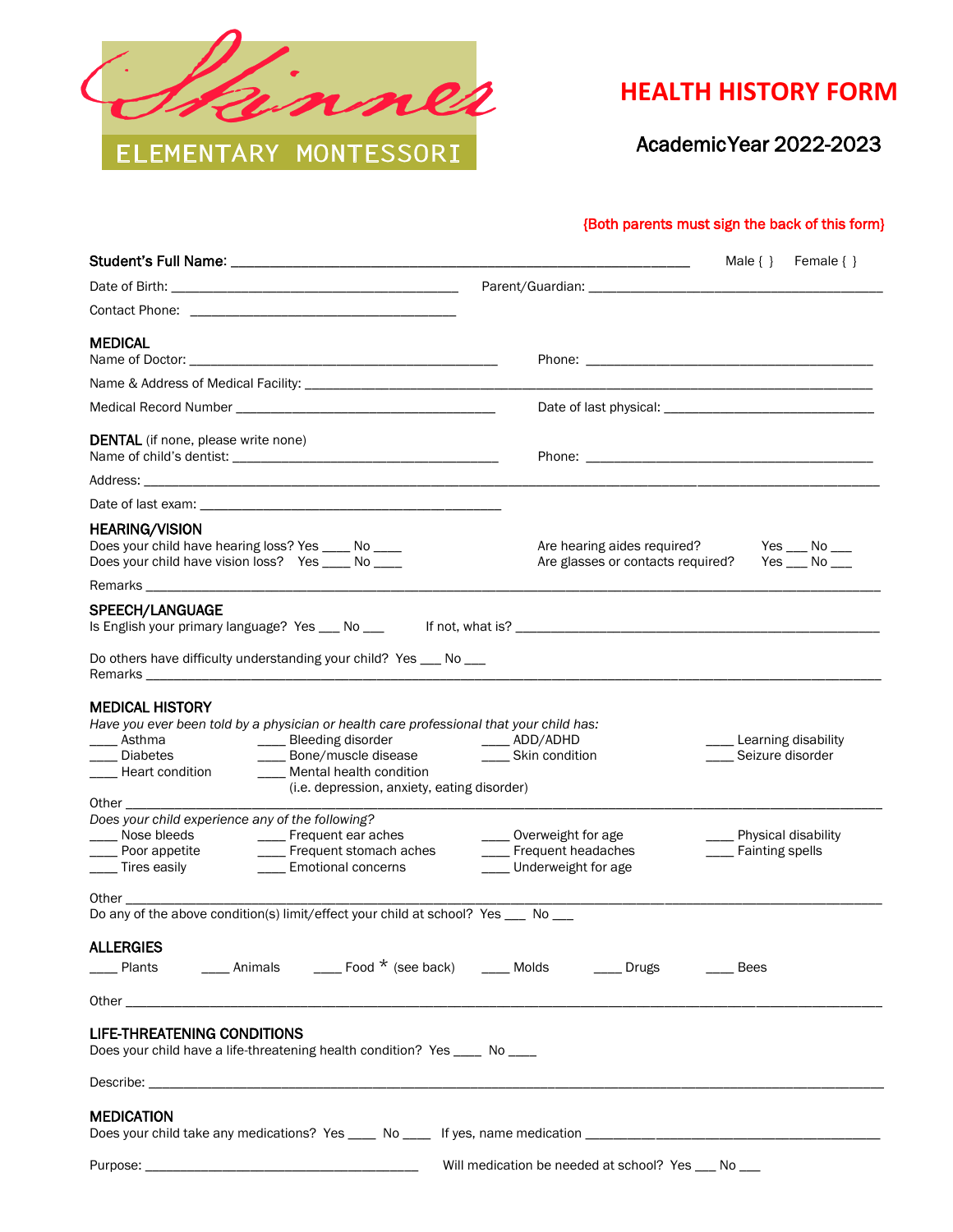

## **HEALTH HISTORY FORM**

Academic Year 2022-2023

## {Both parents must sign the back of this form}

|                                                                                                                                                                                                                                                                                                                                                                                                                                                                                                                                                       |                                                                               | Male $\{\}$ Female $\{\}$                      |
|-------------------------------------------------------------------------------------------------------------------------------------------------------------------------------------------------------------------------------------------------------------------------------------------------------------------------------------------------------------------------------------------------------------------------------------------------------------------------------------------------------------------------------------------------------|-------------------------------------------------------------------------------|------------------------------------------------|
|                                                                                                                                                                                                                                                                                                                                                                                                                                                                                                                                                       |                                                                               |                                                |
|                                                                                                                                                                                                                                                                                                                                                                                                                                                                                                                                                       |                                                                               |                                                |
| <b>MEDICAL</b>                                                                                                                                                                                                                                                                                                                                                                                                                                                                                                                                        |                                                                               |                                                |
|                                                                                                                                                                                                                                                                                                                                                                                                                                                                                                                                                       |                                                                               |                                                |
|                                                                                                                                                                                                                                                                                                                                                                                                                                                                                                                                                       |                                                                               |                                                |
| <b>DENTAL</b> (if none, please write none)                                                                                                                                                                                                                                                                                                                                                                                                                                                                                                            |                                                                               |                                                |
|                                                                                                                                                                                                                                                                                                                                                                                                                                                                                                                                                       |                                                                               |                                                |
|                                                                                                                                                                                                                                                                                                                                                                                                                                                                                                                                                       |                                                                               |                                                |
| <b>HEARING/VISION</b><br>Does your child have hearing loss? Yes ___ No ___<br>Does your child have vision loss? Yes ____ No ___                                                                                                                                                                                                                                                                                                                                                                                                                       | Are hearing aides required? Yes __ No __<br>Are glasses or contacts required? | Yes $\_\_\$ No $\_\_\_\$                       |
|                                                                                                                                                                                                                                                                                                                                                                                                                                                                                                                                                       |                                                                               |                                                |
| <b>SPEECH/LANGUAGE</b><br>Is English your primary language? Yes __ No __                                                                                                                                                                                                                                                                                                                                                                                                                                                                              |                                                                               |                                                |
| Do others have difficulty understanding your child? Yes ____ No ___                                                                                                                                                                                                                                                                                                                                                                                                                                                                                   |                                                                               |                                                |
| <b>MEDICAL HISTORY</b><br>Have you ever been told by a physician or health care professional that your child has:<br>____ Bleeding disorder<br>____ Asthma<br>____ Bone/muscle disease<br><b>Diabetes</b><br>___ Mental health condition<br>____ Heart condition<br>(i.e. depression, anxiety, eating disorder)<br><b>Other Contract Contract Contract Contract Contract Contract Contract Contract Contract Contract Contract Contract Contract Contract Contract Contract Contract Contract Contract Contract Contract Contract Contract Contra</b> | ___ ADD/ADHD<br>___ Skin condition                                            | _ Learning disability<br>Seizure disorder      |
| Does your child experience any of the following?<br>Nose bleeds<br>____ Frequent ear aches<br>__ Poor appetite<br>____ Frequent stomach aches<br>____ Tires easily<br><b>Emotional concerns</b>                                                                                                                                                                                                                                                                                                                                                       | ___ Overweight for age<br>__ Frequent headaches<br>___ Underweight for age    | ___ Physical disability<br>___ Fainting spells |
| Do any of the above condition(s) limit/effect your child at school? Yes ___ No __                                                                                                                                                                                                                                                                                                                                                                                                                                                                     |                                                                               |                                                |
| <b>ALLERGIES</b><br>____ Plants    _____ Animals    _____ Food * (see back)    ____ Molds     ____ Drugs                                                                                                                                                                                                                                                                                                                                                                                                                                              |                                                                               | Bees                                           |
|                                                                                                                                                                                                                                                                                                                                                                                                                                                                                                                                                       |                                                                               |                                                |
| <b>LIFE-THREATENING CONDITIONS</b><br>Does your child have a life-threatening health condition? Yes ____ No ___                                                                                                                                                                                                                                                                                                                                                                                                                                       |                                                                               |                                                |
|                                                                                                                                                                                                                                                                                                                                                                                                                                                                                                                                                       |                                                                               |                                                |
| <b>MEDICATION</b>                                                                                                                                                                                                                                                                                                                                                                                                                                                                                                                                     |                                                                               |                                                |
|                                                                                                                                                                                                                                                                                                                                                                                                                                                                                                                                                       | Will medication be needed at school? Yes ___ No __                            |                                                |